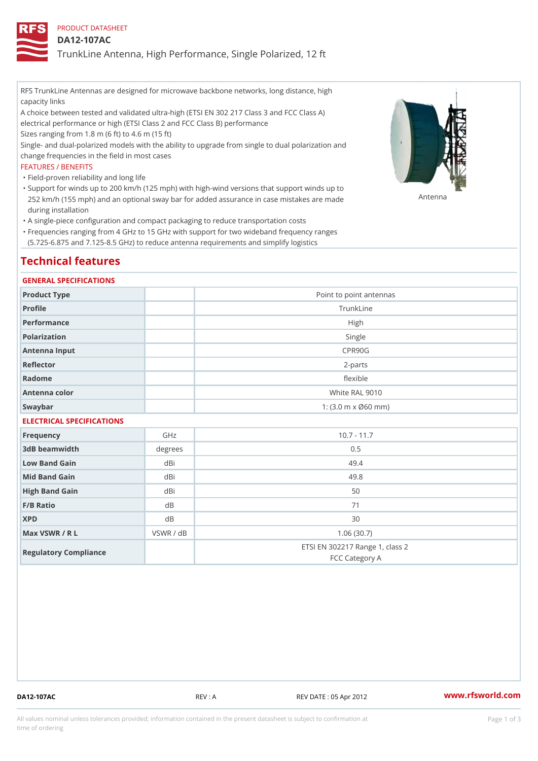## PRODUCT DATASHEET

## DA12-107AC

TrunkLine Antenna, High Performance, Single Polarized, 12 ft

RFS TrunkLine Antennas are designed for microwave backbone networks, long distance, high capacity links

A choice between tested and validated ultra-high (ETSI EN 302 217 Class 3 and FCC Class A) electrical performance or high (ETSI Class 2 and FCC Class B) performance

Sizes ranging from 1.8 m (6 ft) to 4.6 m (15 ft)

Single- and dual-polarized models with the ability to upgrade from single to dual polarization and change frequencies in the field in most cases

### FEATURES / BENEFITS

"Field-proven reliability and long life

- Support for winds up to 200 km/h (125 mph) with high-wind versions that support winds up to " 252 km/h (155 mph) and an optional sway bar for added assurance in case m S # \$ R & B are made during installation
- "A single-piece configuration and compact packaging to reduce transportation costs
- Frequencies ranging from 4 GHz to 15 GHz with support for two wideband frequency ranges " (5.725-6.875 and 7.125-8.5 GHz) to reduce antenna requirements and simplify logistics

## Technical features

### GENERAL SPECIFICATIONS

| Product Type              | Point to point antennas                                 |  |  |  |
|---------------------------|---------------------------------------------------------|--|--|--|
| Profile                   | TrunkLine                                               |  |  |  |
| Performance               | High                                                    |  |  |  |
| Polarization              | Single                                                  |  |  |  |
| Antenna Input             | CPR90G                                                  |  |  |  |
| Reflector                 | 2-parts                                                 |  |  |  |
| Radome                    | flexible                                                |  |  |  |
| Antenna color             | White RAL 9010                                          |  |  |  |
| Swaybar                   | 1: $(3.0 \, \text{m} \times \emptyset 60 \, \text{mm})$ |  |  |  |
| FLEATBLANT ABEAIFIANTIANA |                                                         |  |  |  |

## ELECTRICAL SPECIFICATIONS

| Frequency             | GHz       | $10.7 - 11.7$                                     |
|-----------------------|-----------|---------------------------------------------------|
| 3dB beamwidth         | degree    | 0.5                                               |
| Low Band Gain         | dBi       | 49.4                                              |
| Mid Band Gain         | dBi       | 49.8                                              |
| High Band Gain        | dBi       | 50                                                |
| $F/B$ Ratio           | d B       | 71                                                |
| <b>XPD</b>            | d B       | 30                                                |
| Max VSWR / R L        | VSWR / dB | 1.06(30.7)                                        |
| Regulatory Compliance |           | ETSI EN 302217 Range 1, class 2<br>FCC Category A |

DA12-107AC REV : A REV DATE : 05 Apr 2012 [www.](https://www.rfsworld.com)rfsworld.com

All values nominal unless tolerances provided; information contained in the present datasheet is subject to Pcapgeign mation time of ordering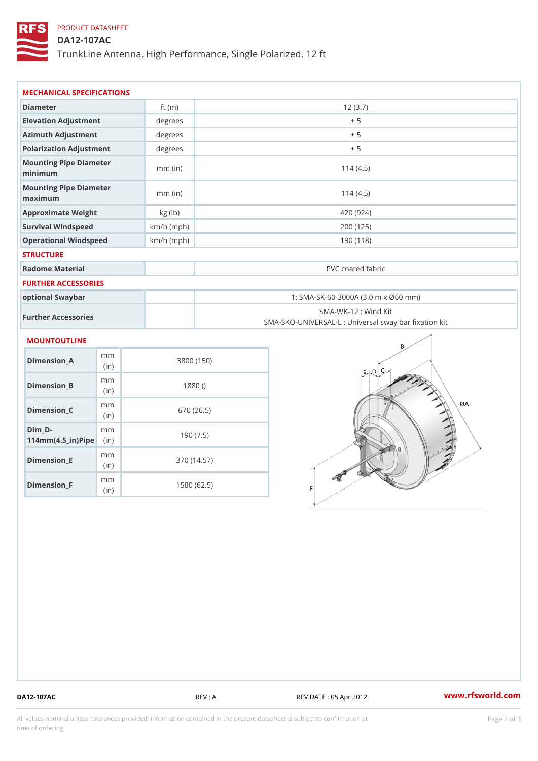# PRODUCT DATASHEET

## DA12-107AC

TrunkLine Antenna, High Performance, Single Polarized, 12 ft

| MECHANICAL SPECIFICATIONS                                          |                        |              |                                                                           |  |  |
|--------------------------------------------------------------------|------------------------|--------------|---------------------------------------------------------------------------|--|--|
| Diameter                                                           |                        | ft $(m)$     | 12(3.7)                                                                   |  |  |
| Elevation Adjustment                                               |                        | degree:      | ± 5                                                                       |  |  |
| Azimuth Adjustment                                                 |                        | degrees      | ± 5                                                                       |  |  |
| Polarization Adjustment                                            |                        | degree       | ± 5                                                                       |  |  |
| Mounting Pipe Diameter<br>minimum                                  |                        | $mm$ (in)    | 114(4.5)                                                                  |  |  |
| Mounting Pipe Diameter<br>maximum                                  |                        | $mm$ (in)    | 114(4.5)                                                                  |  |  |
| Approximate Weight                                                 |                        | kg (lb)      | 420 (924)                                                                 |  |  |
| Survival Windspeed                                                 |                        | $km/h$ (mph) | 200 (125)                                                                 |  |  |
| Operational Windspeed                                              |                        | $km/h$ (mph) | 190 (118)                                                                 |  |  |
| <b>STRUCTURE</b>                                                   |                        |              |                                                                           |  |  |
| Radome Material                                                    |                        |              | PVC coated fabric                                                         |  |  |
| FURTHER ACCESSORIES                                                |                        |              |                                                                           |  |  |
| optional Swaybar                                                   |                        |              | 1: SMA-SK-60-3000A (3.0 m x Ø60 mm)                                       |  |  |
| Further Accessories                                                |                        |              | SMA-WK-12 : Wind Kit<br>SMA-SKO-UNIVERSAL-L : Universal sway bar fixation |  |  |
| MOUNTOUTLINE                                                       |                        |              |                                                                           |  |  |
| $Dimension_A$                                                      | m <sub>m</sub><br>(in) |              | 3800 (150)                                                                |  |  |
| $Dimension_B$                                                      | m m<br>(in)            |              | 1880()                                                                    |  |  |
| $Dimension_C$                                                      | m m<br>(in             |              | 670 (26.5)                                                                |  |  |
| $Dim_D - D -$<br>$114$ m m (4.5 _ ir ) $\sqrt{$ im $\cdot$ $\cdot$ | m m                    |              | 190(7.5)                                                                  |  |  |
|                                                                    |                        |              |                                                                           |  |  |

Dimension\_F m<sub>m</sub> (in) 1580 (62.5)

mm (in)

Dimension\_E

370 (14.57)

DA12-107AC REV : A REV DATE : 05 Apr 2012 [www.](https://www.rfsworld.com)rfsworld.com